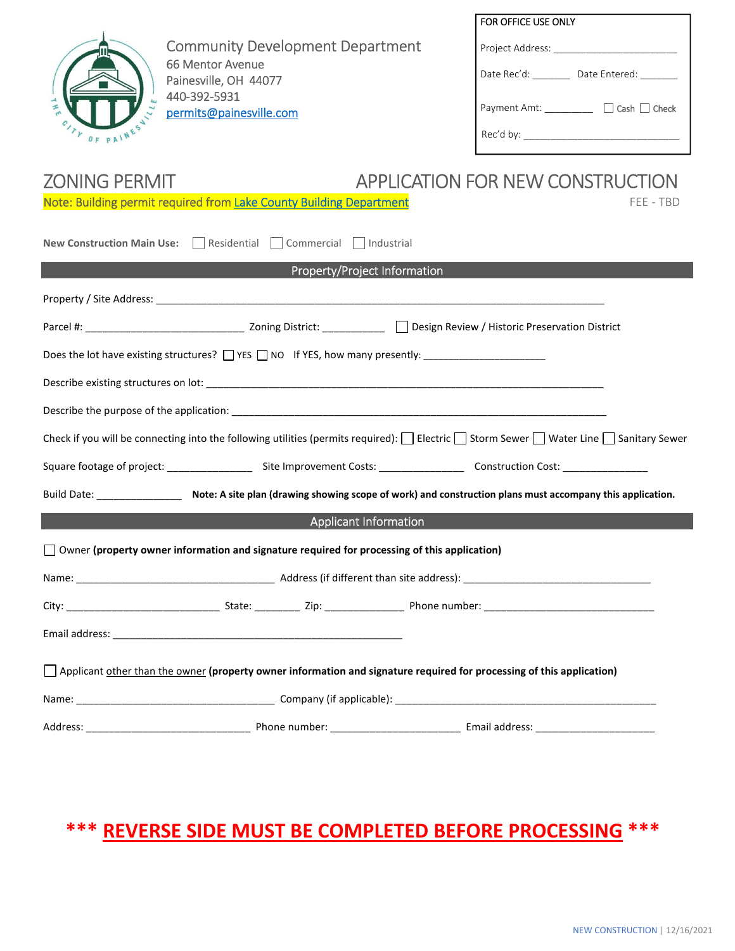| OF PAINE                                                                                                                                                    | <b>Community Development Department</b><br>66 Mentor Avenue<br>Painesville, OH 44077<br>440-392-5931<br>permits@painesville.com |                              | FOR OFFICE USE ONLY<br>Project Address: ____________________________<br>Date Rec'd: _________ Date Entered: _______<br>Payment Amt: _________ □ Cash □ Check |  |  |
|-------------------------------------------------------------------------------------------------------------------------------------------------------------|---------------------------------------------------------------------------------------------------------------------------------|------------------------------|--------------------------------------------------------------------------------------------------------------------------------------------------------------|--|--|
| APPLICATION FOR NEW CONSTRUCTION<br><b>ZONING PERMIT</b>                                                                                                    |                                                                                                                                 |                              |                                                                                                                                                              |  |  |
| Note: Building permit required from Lake County Building Department<br>FEE - TBD                                                                            |                                                                                                                                 |                              |                                                                                                                                                              |  |  |
| New Construction Main Use:   Residential   Commercial   Industrial                                                                                          |                                                                                                                                 |                              |                                                                                                                                                              |  |  |
|                                                                                                                                                             |                                                                                                                                 | Property/Project Information |                                                                                                                                                              |  |  |
|                                                                                                                                                             |                                                                                                                                 |                              |                                                                                                                                                              |  |  |
|                                                                                                                                                             |                                                                                                                                 |                              |                                                                                                                                                              |  |  |
| Does the lot have existing structures? The Super Structure of YES, how many presently:                                                                      |                                                                                                                                 |                              |                                                                                                                                                              |  |  |
|                                                                                                                                                             |                                                                                                                                 |                              |                                                                                                                                                              |  |  |
|                                                                                                                                                             |                                                                                                                                 |                              |                                                                                                                                                              |  |  |
| Check if you will be connecting into the following utilities (permits required): $\Box$ Electric $\Box$ Storm Sewer $\Box$ Water Line $\Box$ Sanitary Sewer |                                                                                                                                 |                              |                                                                                                                                                              |  |  |
|                                                                                                                                                             |                                                                                                                                 |                              |                                                                                                                                                              |  |  |
|                                                                                                                                                             |                                                                                                                                 |                              | Build Date: ________________________ Note: A site plan (drawing showing scope of work) and construction plans must accompany this application.               |  |  |
|                                                                                                                                                             |                                                                                                                                 | <b>Applicant Information</b> |                                                                                                                                                              |  |  |
| $\Box$ Owner (property owner information and signature required for processing of this application)                                                         |                                                                                                                                 |                              |                                                                                                                                                              |  |  |
|                                                                                                                                                             |                                                                                                                                 |                              |                                                                                                                                                              |  |  |
|                                                                                                                                                             |                                                                                                                                 |                              |                                                                                                                                                              |  |  |
|                                                                                                                                                             |                                                                                                                                 |                              |                                                                                                                                                              |  |  |
| $\Box$ Applicant other than the owner (property owner information and signature required for processing of this application)                                |                                                                                                                                 |                              |                                                                                                                                                              |  |  |
|                                                                                                                                                             |                                                                                                                                 |                              |                                                                                                                                                              |  |  |
|                                                                                                                                                             |                                                                                                                                 |                              |                                                                                                                                                              |  |  |

# **\*\*\* REVERSE SIDE MUST BE COMPLETED BEFORE PROCESSING \*\*\***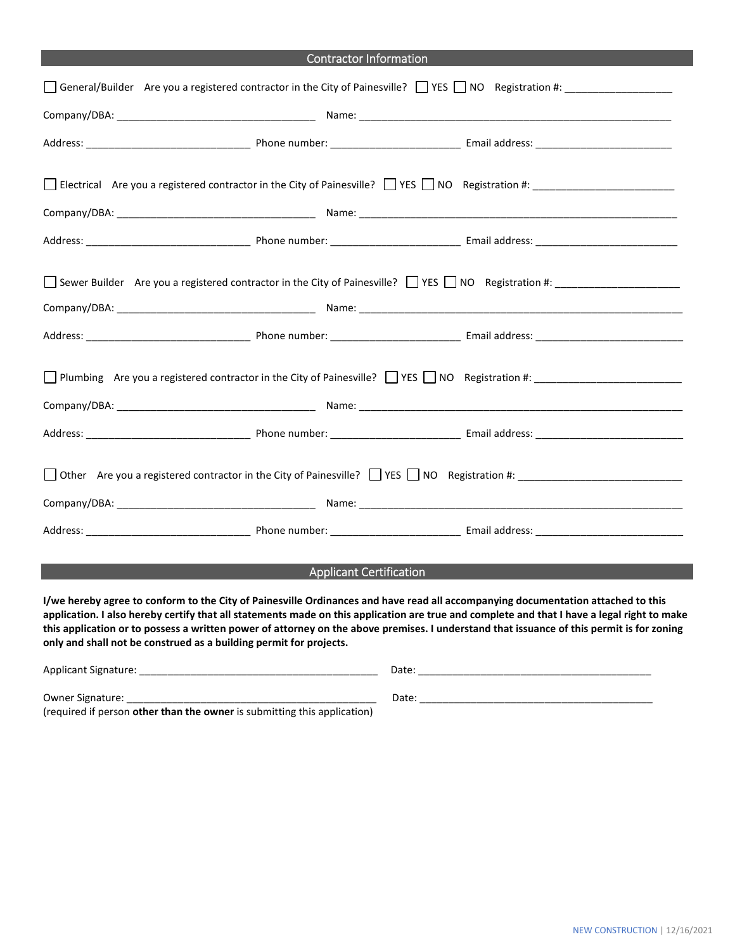| <b>Contractor Information</b>                                                                                                                                                                                                                                                                                                       |  |  |  |  |
|-------------------------------------------------------------------------------------------------------------------------------------------------------------------------------------------------------------------------------------------------------------------------------------------------------------------------------------|--|--|--|--|
| □ General/Builder Are you a registered contractor in the City of Painesville? □ YES □ NO Registration #: ______________________________                                                                                                                                                                                             |  |  |  |  |
|                                                                                                                                                                                                                                                                                                                                     |  |  |  |  |
|                                                                                                                                                                                                                                                                                                                                     |  |  |  |  |
| Electrical Are you a registered contractor in the City of Painesville? TVES NO Registration #:                                                                                                                                                                                                                                      |  |  |  |  |
|                                                                                                                                                                                                                                                                                                                                     |  |  |  |  |
|                                                                                                                                                                                                                                                                                                                                     |  |  |  |  |
| Sewer Builder Are you a registered contractor in the City of Painesville? $\Box$ YES $\Box$ NO Registration #:                                                                                                                                                                                                                      |  |  |  |  |
|                                                                                                                                                                                                                                                                                                                                     |  |  |  |  |
| □ Plumbing Are you a registered contractor in the City of Painesville? □ YES □ NO Registration #:<br>Company/DBA: Name: Name: Name: Name: Name: Name: Name: Name: Name: Name: Name: Name: Name: Name: Name: Name: Name: Name: Name: Name: Name: Name: Name: Name: Name: Name: Name: Name: Name: Name: Name: Name: Name: Name: Name: |  |  |  |  |
|                                                                                                                                                                                                                                                                                                                                     |  |  |  |  |
| □ Other Are you a registered contractor in the City of Painesville? □ YES □ NO Registration #:                                                                                                                                                                                                                                      |  |  |  |  |
|                                                                                                                                                                                                                                                                                                                                     |  |  |  |  |
|                                                                                                                                                                                                                                                                                                                                     |  |  |  |  |

# Applicant Certification

**I/we hereby agree to conform to the City of Painesville Ordinances and have read all accompanying documentation attached to this application. I also hereby certify that all statements made on this application are true and complete and that I have a legal right to make this application or to possess a written power of attorney on the above premises. I understand that issuance of this permit is for zoning only and shall not be construed as a building permit for projects.** 

| <b>Applicant Signature:</b>                                              | Date: |
|--------------------------------------------------------------------------|-------|
| <b>Owner Signature:</b>                                                  | Date: |
| (required if person other than the owner is submitting this application) |       |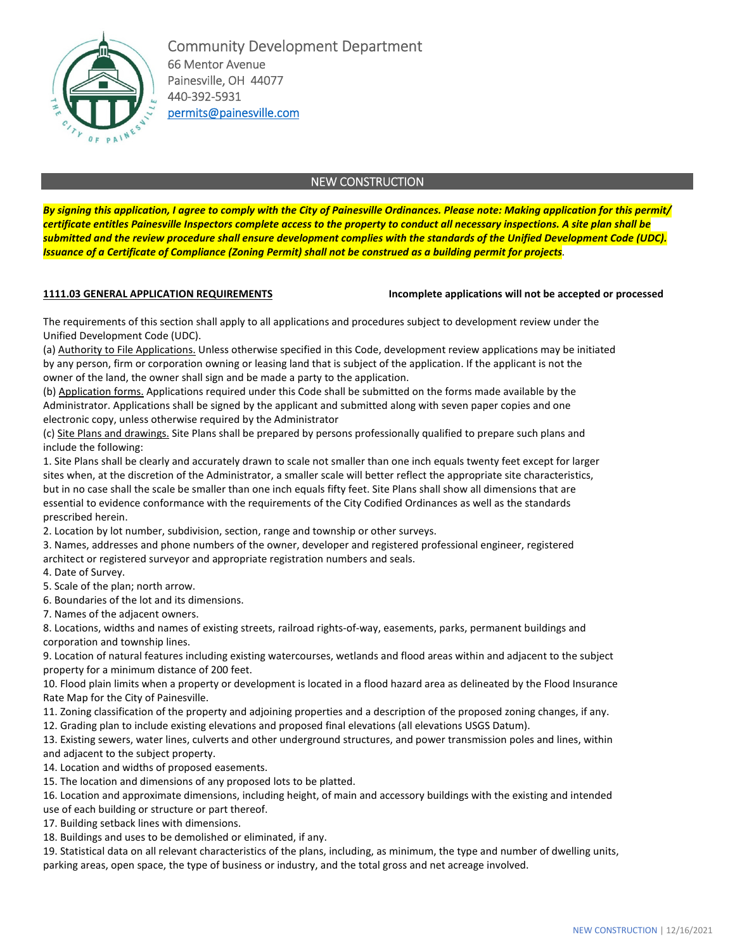

Community Development Department 66 Mentor Avenue Painesville, OH 44077 440-392-5931 permits@painesville.com

# NEW CONSTRUCTION

*By signing this application, I agree to comply with the City of Painesville Ordinances. Please note: Making application for this permit/ certificate entitles Painesville Inspectors complete access to the property to conduct all necessary inspections. A site plan shall be submitted and the review procedure shall ensure development complies with the standards of the Unified Development Code (UDC). Issuance of a Certificate of Compliance (Zoning Permit) shall not be construed as a building permit for projects.*

# **1111.03 GENERAL APPLICATION REQUIREMENTS Incomplete applications will not be accepted or processed**

The requirements of this section shall apply to all applications and procedures subject to development review under the Unified Development Code (UDC).

(a) Authority to File Applications. Unless otherwise specified in this Code, development review applications may be initiated by any person, firm or corporation owning or leasing land that is subject of the application. If the applicant is not the owner of the land, the owner shall sign and be made a party to the application.

(b) Application forms. Applications required under this Code shall be submitted on the forms made available by the Administrator. Applications shall be signed by the applicant and submitted along with seven paper copies and one electronic copy, unless otherwise required by the Administrator

(c) Site Plans and drawings. Site Plans shall be prepared by persons professionally qualified to prepare such plans and include the following:

1. Site Plans shall be clearly and accurately drawn to scale not smaller than one inch equals twenty feet except for larger sites when, at the discretion of the Administrator, a smaller scale will better reflect the appropriate site characteristics, but in no case shall the scale be smaller than one inch equals fifty feet. Site Plans shall show all dimensions that are essential to evidence conformance with the requirements of the City Codified Ordinances as well as the standards prescribed herein.

2. Location by lot number, subdivision, section, range and township or other surveys.

3. Names, addresses and phone numbers of the owner, developer and registered professional engineer, registered architect or registered surveyor and appropriate registration numbers and seals.

4. Date of Survey.

5. Scale of the plan; north arrow.

6. Boundaries of the lot and its dimensions.

7. Names of the adjacent owners.

8. Locations, widths and names of existing streets, railroad rights-of-way, easements, parks, permanent buildings and corporation and township lines.

9. Location of natural features including existing watercourses, wetlands and flood areas within and adjacent to the subject property for a minimum distance of 200 feet.

10. Flood plain limits when a property or development is located in a flood hazard area as delineated by the Flood Insurance Rate Map for the City of Painesville.

11. Zoning classification of the property and adjoining properties and a description of the proposed zoning changes, if any.

12. Grading plan to include existing elevations and proposed final elevations (all elevations USGS Datum).

13. Existing sewers, water lines, culverts and other underground structures, and power transmission poles and lines, within and adjacent to the subject property.

14. Location and widths of proposed easements.

15. The location and dimensions of any proposed lots to be platted.

16. Location and approximate dimensions, including height, of main and accessory buildings with the existing and intended

use of each building or structure or part thereof.

17. Building setback lines with dimensions.

18. Buildings and uses to be demolished or eliminated, if any.

19. Statistical data on all relevant characteristics of the plans, including, as minimum, the type and number of dwelling units, parking areas, open space, the type of business or industry, and the total gross and net acreage involved.